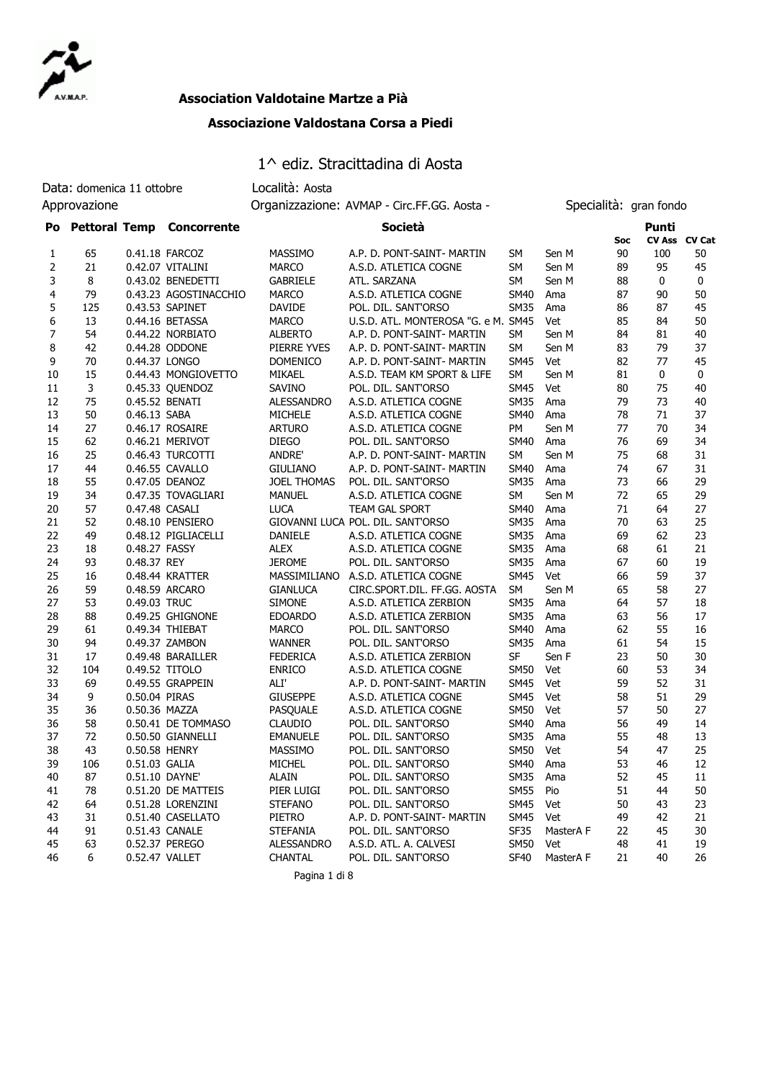

#### **Association Valdotaine Martze a Pià**

#### **Associazione Valdostana Corsa a Piedi**

# 1^ ediz. Stracittadina di Aosta

|    | Data: domenica 11 ottobre |                | Località: Aosta              |                    |                                             |             |           |                        |                        |    |
|----|---------------------------|----------------|------------------------------|--------------------|---------------------------------------------|-------------|-----------|------------------------|------------------------|----|
|    | Approvazione              |                |                              |                    | Organizzazione: AVMAP - Circ.FF.GG. Aosta - |             |           | Specialità: gran fondo |                        |    |
|    |                           |                | Po Pettoral Temp Concorrente |                    | Società                                     |             |           | Soc                    | Punti<br>CV Ass CV Cat |    |
| 1  | 65                        |                | 0.41.18 FARCOZ               | <b>MASSIMO</b>     | A.P. D. PONT-SAINT- MARTIN                  | SM          | Sen M     | 90                     | 100                    | 50 |
| 2  | 21                        |                | 0.42.07 VITALINI             | <b>MARCO</b>       | A.S.D. ATLETICA COGNE                       | SM          | Sen M     | 89                     | 95                     | 45 |
| 3  | 8                         |                | 0.43.02 BENEDETTI            | <b>GABRIELE</b>    | ATL. SARZANA                                | SM          | Sen M     | 88                     | 0                      | 0  |
| 4  | 79                        |                | 0.43.23 AGOSTINACCHIO        | <b>MARCO</b>       | A.S.D. ATLETICA COGNE                       | SM40        | Ama       | 87                     | 90                     | 50 |
| 5  | 125                       |                | 0.43.53 SAPINET              | DAVIDE             | POL. DIL. SANT'ORSO                         | <b>SM35</b> | Ama       | 86                     | 87                     | 45 |
| 6  | 13                        |                | 0.44.16 BETASSA              | <b>MARCO</b>       | U.S.D. ATL. MONTEROSA "G. e M. SM45         |             | Vet       | 85                     | 84                     | 50 |
| 7  | 54                        |                | 0.44.22 NORBIATO             | <b>ALBERTO</b>     | A.P. D. PONT-SAINT- MARTIN                  | SM          | Sen M     | 84                     | 81                     | 40 |
| 8  | 42                        |                | 0.44.28 ODDONE               | PIERRE YVES        | A.P. D. PONT-SAINT- MARTIN                  | SM          | Sen M     | 83                     | 79                     | 37 |
| 9  | 70                        |                | 0.44.37 LONGO                | <b>DOMENICO</b>    | A.P. D. PONT-SAINT- MARTIN                  | SM45        | Vet       | 82                     | 77                     | 45 |
| 10 | 15                        |                | 0.44.43 MONGIOVETTO          | MIKAEL             | A.S.D. TEAM KM SPORT & LIFE                 | SM          | Sen M     | 81                     | 0                      | 0  |
| 11 | 3                         |                | 0.45.33 QUENDOZ              | SAVINO             | POL. DIL. SANT'ORSO                         | <b>SM45</b> | Vet       | 80                     | 75                     | 40 |
| 12 | 75                        |                | 0.45.52 BENATI               | ALESSANDRO         | A.S.D. ATLETICA COGNE                       | SM35        | Ama       | 79                     | 73                     | 40 |
| 13 | 50                        | 0.46.13 SABA   |                              | <b>MICHELE</b>     | A.S.D. ATLETICA COGNE                       | SM40        | Ama       | 78                     | 71                     | 37 |
| 14 | 27                        |                | 0.46.17 ROSAIRE              | <b>ARTURO</b>      | A.S.D. ATLETICA COGNE                       | PΜ          | Sen M     | 77                     | 70                     | 34 |
| 15 | 62                        |                | 0.46.21 MERIVOT              | <b>DIEGO</b>       | POL. DIL. SANT'ORSO                         | <b>SM40</b> | Ama       | 76                     | 69                     | 34 |
| 16 | 25                        |                | 0.46.43 TURCOTTI             | <b>ANDRE'</b>      | A.P. D. PONT-SAINT- MARTIN                  | SM          | Sen M     | 75                     | 68                     | 31 |
| 17 | 44                        |                | 0.46.55 CAVALLO              | <b>GIULIANO</b>    | A.P. D. PONT-SAINT- MARTIN                  | SM40        | Ama       | 74                     | 67                     | 31 |
| 18 | 55                        |                | 0.47.05 DEANOZ               | <b>JOEL THOMAS</b> | POL. DIL. SANT'ORSO                         | <b>SM35</b> | Ama       | 73                     | 66                     | 29 |
| 19 | 34                        |                | 0.47.35 TOVAGLIARI           | <b>MANUEL</b>      | A.S.D. ATLETICA COGNE                       | <b>SM</b>   | Sen M     | 72                     | 65                     | 29 |
| 20 | 57                        | 0.47.48 CASALI |                              | <b>LUCA</b>        | <b>TEAM GAL SPORT</b>                       | SM40        | Ama       | 71                     | 64                     | 27 |
| 21 | 52                        |                | 0.48.10 PENSIERO             |                    | GIOVANNI LUCA POL. DIL. SANT'ORSO           | <b>SM35</b> | Ama       | 70                     | 63                     | 25 |
| 22 | 49                        |                | 0.48.12 PIGLIACELLI          | <b>DANIELE</b>     | A.S.D. ATLETICA COGNE                       | <b>SM35</b> | Ama       | 69                     | 62                     | 23 |
| 23 | 18                        | 0.48.27 FASSY  |                              | <b>ALEX</b>        | A.S.D. ATLETICA COGNE                       | <b>SM35</b> | Ama       | 68                     | 61                     | 21 |
| 24 | 93                        | 0.48.37 REY    |                              | <b>JEROME</b>      | POL. DIL. SANT'ORSO                         | <b>SM35</b> | Ama       | 67                     | 60                     | 19 |
| 25 | 16                        |                | 0.48.44 KRATTER              | MASSIMILIANO       | A.S.D. ATLETICA COGNE                       | <b>SM45</b> | Vet       | 66                     | 59                     | 37 |
| 26 | 59                        |                | 0.48.59 ARCARO               | <b>GIANLUCA</b>    | CIRC.SPORT.DIL. FF.GG. AOSTA                | <b>SM</b>   | Sen M     | 65                     | 58                     | 27 |
| 27 | 53                        | 0.49.03 TRUC   |                              | <b>SIMONE</b>      | A.S.D. ATLETICA ZERBION                     | <b>SM35</b> | Ama       | 64                     | 57                     | 18 |
| 28 | 88                        |                | 0.49.25 GHIGNONE             |                    | A.S.D. ATLETICA ZERBION                     |             |           |                        | 56                     | 17 |
| 29 | 61                        |                |                              | <b>EDOARDO</b>     |                                             | <b>SM35</b> | Ama       | 63<br>62               | 55                     | 16 |
|    |                           |                | 0.49.34 THIEBAT              | <b>MARCO</b>       | POL. DIL. SANT'ORSO                         | <b>SM40</b> | Ama       |                        |                        |    |
| 30 | 94                        |                | 0.49.37 ZAMBON               | <b>WANNER</b>      | POL. DIL. SANT'ORSO                         | <b>SM35</b> | Ama       | 61                     | 54                     | 15 |
| 31 | 17                        |                | 0.49.48 BARAILLER            | <b>FEDERICA</b>    | A.S.D. ATLETICA ZERBION                     | <b>SF</b>   | Sen F     | 23                     | 50                     | 30 |
| 32 | 104                       |                | 0.49.52 TITOLO               | <b>ENRICO</b>      | A.S.D. ATLETICA COGNE                       | <b>SM50</b> | Vet       | 60                     | 53                     | 34 |
| 33 | 69                        |                | 0.49.55 GRAPPEIN             | ALI'               | A.P. D. PONT-SAINT- MARTIN                  | <b>SM45</b> | Vet       | 59                     | 52                     | 31 |
| 34 | 9                         | 0.50.04 PIRAS  |                              | <b>GIUSEPPE</b>    | A.S.D. ATLETICA COGNE                       | SM45        | Vet       | 58                     | 51                     | 29 |
| 35 | 36                        | 0.50.36 MAZZA  |                              | PASQUALE           | A.S.D. ATLETICA COGNE                       | SM50        | Vet       | 57                     | 50                     | 27 |
| 36 | 58                        |                | 0.50.41 DE TOMMASO           | <b>CLAUDIO</b>     | POL. DIL. SANT'ORSO                         | SM40        | Ama       | 56                     | 49                     | 14 |
| 37 | 72                        |                | 0.50.50 GIANNELLI            | <b>EMANUELE</b>    | POL. DIL. SANT'ORSO                         | SM35        | Ama       | 55                     | 48                     | 13 |
| 38 | 43                        | 0.50.58 HENRY  |                              | <b>MASSIMO</b>     | POL. DIL. SANT'ORSO                         | SM50 Vet    |           | 54                     | 47                     | 25 |
| 39 | 106                       | 0.51.03 GALIA  |                              | MICHEL             | POL. DIL. SANT'ORSO                         | SM40        | Ama       | 53                     | 46                     | 12 |
| 40 | 87                        |                | 0.51.10 DAYNE'               | <b>ALAIN</b>       | POL. DIL. SANT'ORSO                         | <b>SM35</b> | Ama       | 52                     | 45                     | 11 |
| 41 | 78                        |                | 0.51.20 DE MATTEIS           | PIER LUIGI         | POL. DIL. SANT'ORSO                         | <b>SM55</b> | Pio       | 51                     | 44                     | 50 |
| 42 | 64                        |                | 0.51.28 LORENZINI            | <b>STEFANO</b>     | POL. DIL. SANT'ORSO                         | SM45        | Vet       | 50                     | 43                     | 23 |
| 43 | 31                        |                | 0.51.40 CASELLATO            | PIETRO             | A.P. D. PONT-SAINT- MARTIN                  | SM45        | Vet       | 49                     | 42                     | 21 |
| 44 | 91                        |                | 0.51.43 CANALE               | <b>STEFANIA</b>    | POL. DIL. SANT'ORSO                         | SF35        | MasterA F | 22                     | 45                     | 30 |
| 45 | 63                        |                | 0.52.37 PEREGO               | ALESSANDRO         | A.S.D. ATL. A. CALVESI                      | <b>SM50</b> | Vet       | 48                     | 41                     | 19 |
| 46 | 6                         |                | 0.52.47 VALLET               | CHANTAL            | POL. DIL. SANT'ORSO                         | <b>SF40</b> | MasterA F | 21                     | 40                     | 26 |

Pagina 1 di 8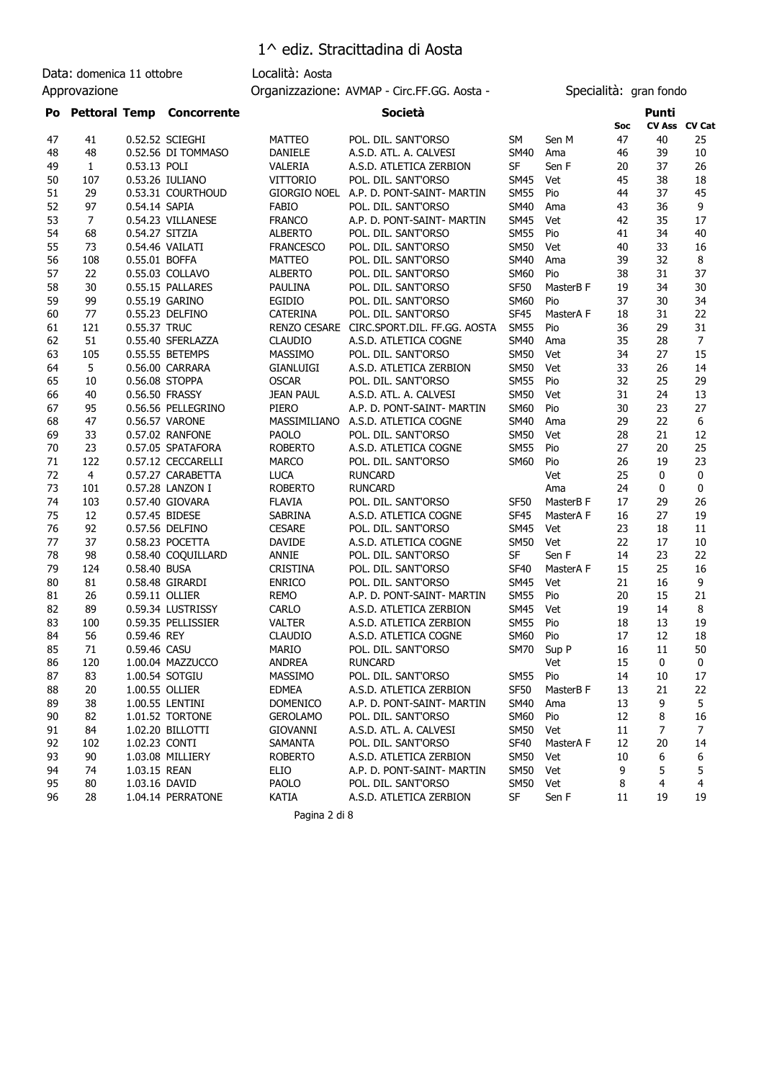Data: domenica 11 ottobre Località: Aosta

Approvazione **Calcularist Controllect AVMAP** - Circ.FF.GG. Aosta - Specialità: gran fondo

| Po |                |                | <b>Pettoral Temp Concorrente</b> |                     | Società                                 |                  |           |     | Punti         |                |
|----|----------------|----------------|----------------------------------|---------------------|-----------------------------------------|------------------|-----------|-----|---------------|----------------|
|    |                |                |                                  |                     |                                         |                  |           | Soc | CV Ass CV Cat |                |
| 47 | 41             |                | 0.52.52 SCIEGHI                  | MATTEO              | POL. DIL. SANT'ORSO                     | SM               | Sen M     | 47  | 40            | 25             |
| 48 | 48             |                | 0.52.56 DI TOMMASO               | DANIELE             | A.S.D. ATL. A. CALVESI                  | <b>SM40</b>      | Ama       | 46  | 39            | 10             |
| 49 | $\mathbf{1}$   | 0.53.13 POLI   |                                  | VALERIA             | A.S.D. ATLETICA ZERBION                 | SF               | Sen F     | 20  | 37            | 26             |
| 50 | 107            |                | 0.53.26 IULIANO                  | <b>VITTORIO</b>     | POL. DIL. SANT'ORSO                     | SM45             | Vet       | 45  | 38            | 18             |
| 51 | 29             |                | 0.53.31 COURTHOUD                |                     | GIORGIO NOEL A.P. D. PONT-SAINT- MARTIN | <b>SM55</b>      | Pio       | 44  | 37            | 45             |
| 52 | 97             | 0.54.14 SAPIA  |                                  | FABIO               | POL. DIL. SANT'ORSO                     | <b>SM40</b>      | Ama       | 43  | 36            | 9              |
| 53 | $\overline{7}$ |                | 0.54.23 VILLANESE                | <b>FRANCO</b>       | A.P. D. PONT-SAINT- MARTIN              | <b>SM45</b>      | Vet       | 42  | 35            | 17             |
| 54 | 68             | 0.54.27 SITZIA |                                  | <b>ALBERTO</b>      | POL. DIL. SANT'ORSO                     | <b>SM55</b>      | Pio       | 41  | 34            | 40             |
| 55 | 73             |                | 0.54.46 VAILATI                  | <b>FRANCESCO</b>    | POL. DIL. SANT'ORSO                     | <b>SM50</b>      | Vet       | 40  | 33            | 16             |
| 56 | 108            | 0.55.01 BOFFA  |                                  | <b>MATTEO</b>       | POL. DIL. SANT'ORSO                     | <b>SM40</b>      | Ama       | 39  | 32            | 8              |
| 57 | 22             |                | 0.55.03 COLLAVO                  | <b>ALBERTO</b>      | POL. DIL. SANT'ORSO                     | <b>SM60</b>      | Pio       | 38  | 31            | 37             |
| 58 | 30             |                | 0.55.15 PALLARES                 | PAULINA             | POL. DIL. SANT'ORSO                     | <b>SF50</b>      | MasterB F | 19  | 34            | 30             |
| 59 | 99             |                | 0.55.19 GARINO                   | EGIDIO              | POL. DIL. SANT'ORSO                     | <b>SM60</b>      | Pio       | 37  | 30            | 34             |
| 60 | 77             |                | 0.55.23 DELFINO                  | <b>CATERINA</b>     | POL. DIL. SANT'ORSO                     | <b>SF45</b>      | MasterA F | 18  | 31            | 22             |
| 61 | 121            | 0.55.37 TRUC   |                                  | <b>RENZO CESARE</b> | CIRC.SPORT.DIL. FF.GG. AOSTA            | <b>SM55</b>      | Pio       | 36  | 29            | 31             |
| 62 | 51             |                | 0.55.40 SFERLAZZA                | <b>CLAUDIO</b>      | A.S.D. ATLETICA COGNE                   | <b>SM40</b>      | Ama       | 35  | 28            | $\overline{7}$ |
| 63 | 105            |                | 0.55.55 BETEMPS                  | MASSIMO             | POL. DIL. SANT'ORSO                     | <b>SM50</b>      | Vet       | 34  | 27            | 15             |
| 64 | 5              |                | 0.56.00 CARRARA                  | <b>GIANLUIGI</b>    | A.S.D. ATLETICA ZERBION                 | <b>SM50</b>      | Vet       | 33  | 26            | 14             |
| 65 | 10             |                | 0.56.08 STOPPA                   | <b>OSCAR</b>        | POL. DIL. SANT'ORSO                     | <b>SM55</b>      | Pio       | 32  | 25            | 29             |
| 66 | 40             |                | 0.56.50 FRASSY                   | <b>JEAN PAUL</b>    | A.S.D. ATL. A. CALVESI                  | <b>SM50</b>      | Vet       | 31  | 24            | 13             |
| 67 | 95             |                | 0.56.56 PELLEGRINO               | <b>PIERO</b>        | A.P. D. PONT-SAINT- MARTIN              | <b>SM60</b>      | Pio       | 30  | 23            | 27             |
| 68 | 47             |                | 0.56.57 VARONE                   | MASSIMILIANO        | A.S.D. ATLETICA COGNE                   | <b>SM40</b>      | Ama       | 29  | 22            | 6              |
| 69 | 33             |                | 0.57.02 RANFONE                  | <b>PAOLO</b>        | POL. DIL. SANT'ORSO                     | <b>SM50</b>      | Vet       | 28  | 21            | 12             |
| 70 | 23             |                | 0.57.05 SPATAFORA                | <b>ROBERTO</b>      | A.S.D. ATLETICA COGNE                   | <b>SM55</b>      | Pio       | 27  | 20            | 25             |
| 71 | 122            |                | 0.57.12 CECCARELLI               | <b>MARCO</b>        | POL. DIL. SANT'ORSO                     | SM60             | Pio       | 26  | 19            | 23             |
| 72 | $\overline{4}$ |                | 0.57.27 CARABETTA                | <b>LUCA</b>         | <b>RUNCARD</b>                          |                  | Vet       | 25  | 0             | 0              |
| 73 | 101            |                | 0.57.28 LANZON I                 | <b>ROBERTO</b>      | <b>RUNCARD</b>                          |                  | Ama       | 24  | 0             | 0              |
| 74 | 103            |                | 0.57.40 GIOVARA                  | <b>FLAVIA</b>       | POL. DIL. SANT'ORSO                     | <b>SF50</b>      | MasterB F | 17  | 29            | 26             |
| 75 | 12             |                | 0.57.45 BIDESE                   | SABRINA             | A.S.D. ATLETICA COGNE                   | <b>SF45</b>      | MasterA F | 16  | 27            | 19             |
| 76 | 92             |                | 0.57.56 DELFINO                  | <b>CESARE</b>       | POL. DIL. SANT'ORSO                     | <b>SM45</b>      | Vet       | 23  | 18            | 11             |
| 77 | 37             |                | 0.58.23 POCETTA                  | <b>DAVIDE</b>       | A.S.D. ATLETICA COGNE                   | <b>SM50</b>      | Vet       | 22  | 17            | 10             |
| 78 | 98             |                | 0.58.40 COQUILLARD               | <b>ANNIE</b>        | POL. DIL. SANT'ORSO                     | SF               | Sen F     | 14  | 23            | 22             |
| 79 | 124            | 0.58.40 BUSA   |                                  | <b>CRISTINA</b>     | POL. DIL. SANT'ORSO                     | <b>SF40</b>      | MasterA F | 15  | 25            | 16             |
| 80 | 81             |                | 0.58.48 GIRARDI                  | <b>ENRICO</b>       | POL. DIL. SANT'ORSO                     | <b>SM45</b>      | Vet       | 21  | 16            | 9              |
| 81 | 26             | 0.59.11 OLLIER |                                  | <b>REMO</b>         | A.P. D. PONT-SAINT- MARTIN              | <b>SM55</b>      | Pio       | 20  | 15            | 21             |
| 82 | 89             |                | 0.59.34 LUSTRISSY                | CARLO               | A.S.D. ATLETICA ZERBION                 | <b>SM45</b>      | Vet       | 19  | 14            | 8              |
| 83 | 100            |                | 0.59.35 PELLISSIER               | <b>VALTER</b>       | A.S.D. ATLETICA ZERBION                 | <b>SM55</b>      | Pio       | 18  | 13            | 19             |
| 84 | 56             | 0.59.46 REY    |                                  | <b>CLAUDIO</b>      | A.S.D. ATLETICA COGNE                   | <b>SM60</b>      | Pio       | 17  | 12            | 18             |
| 85 | 71             | 0.59.46 CASU   |                                  | <b>MARIO</b>        | POL. DIL. SANT'ORSO                     | <b>SM70</b>      | Sup P     | 16  | 11            | 50             |
| 86 | 120            |                | 1.00.04 MAZZUCCO                 | <b>ANDREA</b>       | <b>RUNCARD</b>                          |                  | Vet       | 15  | 0             | $\mathbf 0$    |
| 87 | 83             |                | 1.00.54 SOTGIU                   | MASSIMO             | POL. DIL. SANT'ORSO                     | SM55 Pio         |           | 14  | 10            | 17             |
| 88 | 20             |                | 1.00.55 OLLIER                   | <b>EDMEA</b>        | A.S.D. ATLETICA ZERBION                 | SF50             | MasterB F | 13  | 21            | 22             |
| 89 | 38             |                | 1.00.55 LENTINI                  | <b>DOMENICO</b>     | A.P. D. PONT-SAINT- MARTIN              | SM40             | Ama       | 13  | 9             | 5              |
| 90 | 82             |                | 1.01.52 TORTONE                  | <b>GEROLAMO</b>     | POL. DIL. SANT'ORSO                     | <b>SM60</b>      | Pio       | 12  | 8             | 16             |
| 91 | 84             |                | 1.02.20 BILLOTTI                 | <b>GIOVANNI</b>     | A.S.D. ATL. A. CALVESI                  | <b>SM50</b>      | Vet       | 11  | 7             | 7              |
| 92 | 102            | 1.02.23 CONTI  |                                  | SAMANTA             | POL. DIL. SANT'ORSO                     | SF <sub>40</sub> | MasterA F | 12  | 20            | 14             |
| 93 | 90             |                | 1.03.08 MILLIERY                 | <b>ROBERTO</b>      | A.S.D. ATLETICA ZERBION                 | <b>SM50</b>      | Vet       | 10  | 6             | 6              |
| 94 | 74             | 1.03.15 REAN   |                                  | ELIO                | A.P. D. PONT-SAINT- MARTIN              | <b>SM50</b>      | Vet       | 9   | 5             | 5              |
| 95 | 80             | 1.03.16 DAVID  |                                  | <b>PAOLO</b>        | POL. DIL. SANT'ORSO                     | <b>SM50</b>      | Vet       | 8   | 4             | 4              |
| 96 | 28             |                | 1.04.14 PERRATONE                | KATIA               | A.S.D. ATLETICA ZERBION                 | SF               | Sen F     | 11  | 19            | 19             |
|    |                |                |                                  |                     |                                         |                  |           |     |               |                |

Pagina 2 di 8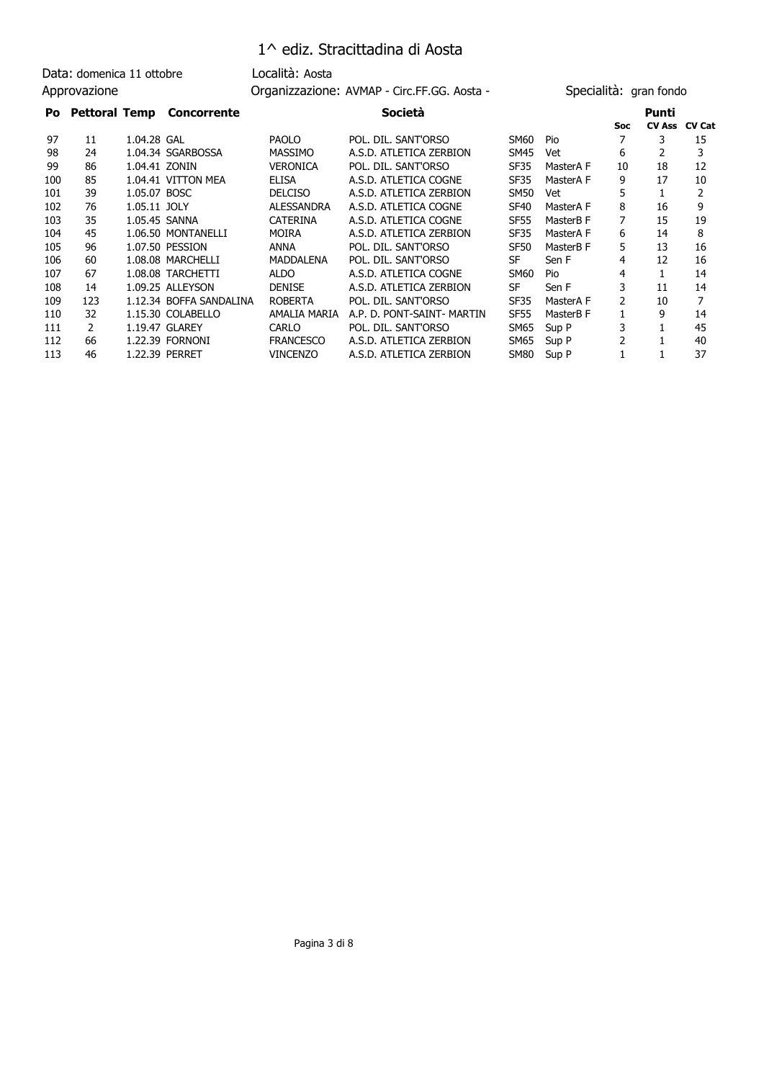Data: domenica 11 ottobre Località: Aosta

Approvazione **Calcularist Controllect AVMAP** - Circ.FF.GG. Aosta - Specialità: gran fondo

| Po  |               |               | <b>Pettoral Temp Concorrente</b> |                   | Società                    |             |           |            | Punti         |               |
|-----|---------------|---------------|----------------------------------|-------------------|----------------------------|-------------|-----------|------------|---------------|---------------|
|     |               |               |                                  |                   |                            |             |           | <b>Soc</b> | <b>CV Ass</b> | <b>CV Cat</b> |
| 97  | 11            | 1.04.28 GAL   |                                  | <b>PAOLO</b>      | POL. DIL. SANT'ORSO        | SM60        | Pio       |            | 3             | 15            |
| 98  | 24            |               | 1.04.34 SGARBOSSA                | <b>MASSIMO</b>    | A.S.D. ATLETICA ZERBION    | SM45        | Vet       | 6          | 2             | 3             |
| 99  | 86            | 1.04.41 ZONIN |                                  | <b>VERONICA</b>   | POL. DIL. SANT'ORSO        | SF35        | MasterA F | 10         | 18            | 12            |
| 100 | 85            |               | 1.04.41 VITTON MEA               | <b>ELISA</b>      | A.S.D. ATLETICA COGNE      | SF35        | MasterA F | 9          | 17            | 10            |
| 101 | 39            | 1.05.07 BOSC  |                                  | <b>DELCISO</b>    | A.S.D. ATLETICA ZERBION    | SM50        | Vet       | 5          |               |               |
| 102 | 76            | 1.05.11 JOLY  |                                  | <b>ALESSANDRA</b> | A.S.D. ATLETICA COGNE      | SF40        | MasterA F | 8          | 16            | 9             |
| 103 | 35            | 1.05.45 SANNA |                                  | <b>CATERINA</b>   | A.S.D. ATLETICA COGNE      | <b>SF55</b> | MasterB F | 7          | 15            | 19            |
| 104 | 45            |               | 1.06.50 MONTANELLI               | <b>MOIRA</b>      | A.S.D. ATLETICA ZERBION    | SF35        | MasterA F | 6          | 14            | 8             |
| 105 | 96            |               | 1.07.50 PESSION                  | ANNA              | POL. DIL. SANT'ORSO        | SF50        | MasterB F | 5          | 13            | 16            |
| 106 | 60            |               | 1.08.08 MARCHELLI                | MADDALENA         | POL. DIL. SANT'ORSO        | SF          | Sen F     | 4          | 12            | 16            |
| 107 | 67            |               | 1.08.08 TARCHETTI                | <b>ALDO</b>       | A.S.D. ATLETICA COGNE      | SM60        | Pio       | 4          |               | 14            |
| 108 | 14            |               | 1.09.25 ALLEYSON                 | <b>DENISE</b>     | A.S.D. ATLETICA ZERBION    | SF          | Sen F     | 3          | 11            | 14            |
| 109 | 123           |               | 1.12.34 BOFFA SANDALINA          | <b>ROBERTA</b>    | POL. DIL. SANT'ORSO        | SF35        | MasterA F | 2          | 10            |               |
| 110 | 32            |               | 1.15.30 COLABELLO                | AMALIA MARIA      | A.P. D. PONT-SAINT- MARTIN | <b>SF55</b> | MasterB F |            | 9             | 14            |
| 111 | $\mathcal{P}$ |               | 1.19.47 GLAREY                   | <b>CARLO</b>      | POL. DIL. SANT'ORSO        | SM65        | Sup P     | 3          |               | 45            |
| 112 | 66            |               | 1.22.39 FORNONI                  | <b>FRANCESCO</b>  | A.S.D. ATLETICA ZERBION    | SM65        | Sup P     | 2          |               | 40            |
| 113 | 46            |               | 1.22.39 PERRET                   | <b>VINCENZO</b>   | A.S.D. ATLETICA ZERBION    | <b>SM80</b> | Sup P     |            |               | 37            |
|     |               |               |                                  |                   |                            |             |           |            |               |               |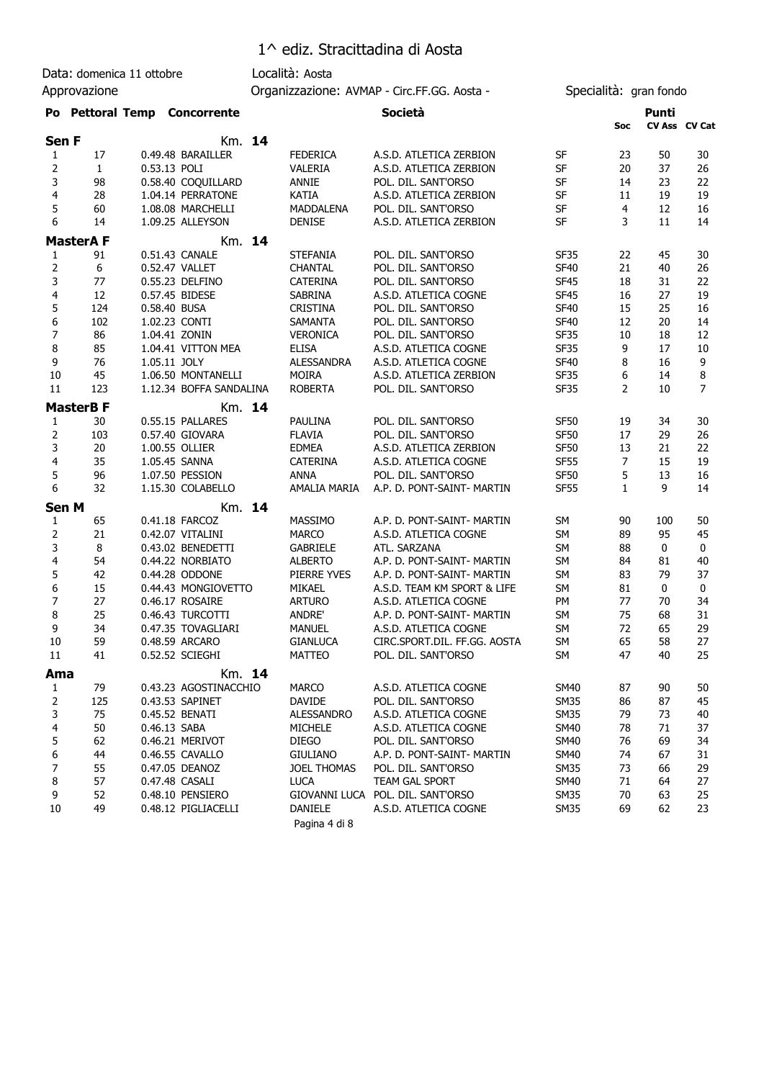Data: domenica 11 ottobre Località: Aosta

Approvazione **Calcularist Controllect AVMAP** - Circ.FF.GG. Aosta - Specialità: gran fondo

| Po Pettoral Temp Concorrente | Società | Punti |
|------------------------------|---------|-------|
|                              |         |       |

|                         |              |                         |        |                      |                              |             | Soc            |              | CV Ass CV Cat    |
|-------------------------|--------------|-------------------------|--------|----------------------|------------------------------|-------------|----------------|--------------|------------------|
| Sen F                   |              |                         | Km. 14 |                      |                              |             |                |              |                  |
| 1                       | 17           | 0.49.48 BARAILLER       |        | <b>FEDERICA</b>      | A.S.D. ATLETICA ZERBION      | SF          | 23             | 50           | 30               |
| 2                       | $\mathbf{1}$ | 0.53.13 POLI            |        | VALERIA              | A.S.D. ATLETICA ZERBION      | SF          | 20             | 37           | 26               |
| 3                       | 98           | 0.58.40 COQUILLARD      |        | <b>ANNIE</b>         | POL. DIL. SANT'ORSO          | SF          | 14             | 23           | 22               |
| 4                       | 28           | 1.04.14 PERRATONE       |        | <b>KATIA</b>         | A.S.D. ATLETICA ZERBION      | SF          | 11             | 19           | 19               |
| 5                       | 60           | 1.08.08 MARCHELLI       |        | <b>MADDALENA</b>     | POL. DIL. SANT'ORSO          | SF          | 4              | 12           | 16               |
| 6                       | 14           | 1.09.25 ALLEYSON        |        | <b>DENISE</b>        | A.S.D. ATLETICA ZERBION      | <b>SF</b>   | 3              | 11           | 14               |
| <b>MasterAF</b>         |              |                         | Km. 14 |                      |                              |             |                |              |                  |
| 1                       | 91           | 0.51.43 CANALE          |        | <b>STEFANIA</b>      | POL. DIL. SANT'ORSO          | <b>SF35</b> | 22             | 45           | 30               |
| 2                       | 6            | 0.52.47 VALLET          |        | <b>CHANTAL</b>       | POL. DIL. SANT'ORSO          | <b>SF40</b> | 21             | 40           | 26               |
| 3                       | 77           | 0.55.23 DELFINO         |        | CATERINA             | POL. DIL. SANT'ORSO          | <b>SF45</b> | 18             | 31           | 22               |
| 4                       | 12           | 0.57.45 BIDESE          |        | <b>SABRINA</b>       | A.S.D. ATLETICA COGNE        | <b>SF45</b> | 16             | 27           | 19               |
| 5                       | 124          | 0.58.40 BUSA            |        | <b>CRISTINA</b>      | POL. DIL. SANT'ORSO          | <b>SF40</b> | 15             | 25           | 16               |
| 6                       | 102          | 1.02.23 CONTI           |        | <b>SAMANTA</b>       | POL. DIL. SANT'ORSO          | <b>SF40</b> | 12             | 20           | 14               |
| 7                       | 86           | 1.04.41 ZONIN           |        | <b>VERONICA</b>      | POL. DIL. SANT'ORSO          | <b>SF35</b> | 10             | 18           | 12               |
| 8                       | 85           | 1.04.41 VITTON MEA      |        | <b>ELISA</b>         | A.S.D. ATLETICA COGNE        | <b>SF35</b> | 9              | 17           | 10               |
| 9                       | 76           | 1.05.11 JOLY            |        | <b>ALESSANDRA</b>    | A.S.D. ATLETICA COGNE        | <b>SF40</b> | 8              | 16           | 9                |
| 10                      | 45           | 1.06.50 MONTANELLI      |        | <b>MOIRA</b>         | A.S.D. ATLETICA ZERBION      | <b>SF35</b> | 6              | 14           | 8                |
| 11                      | 123          | 1.12.34 BOFFA SANDALINA |        | <b>ROBERTA</b>       | POL. DIL. SANT'ORSO          | <b>SF35</b> | 2              | 10           | $\overline{7}$   |
| <b>MasterB F</b>        |              |                         | Km. 14 |                      |                              |             |                |              |                  |
| 1                       | 30           | 0.55.15 PALLARES        |        | PAULINA              | POL. DIL. SANT'ORSO          | <b>SF50</b> | 19             | 34           | 30               |
| 2                       | 103          | 0.57.40 GIOVARA         |        | <b>FLAVIA</b>        | POL. DIL. SANT'ORSO          | <b>SF50</b> | 17             | 29           | 26               |
| 3                       | 20           | 1.00.55 OLLIER          |        | <b>EDMEA</b>         | A.S.D. ATLETICA ZERBION      | <b>SF50</b> | 13             | 21           | 22               |
| 4                       | 35           | 1.05.45 SANNA           |        | <b>CATERINA</b>      | A.S.D. ATLETICA COGNE        | <b>SF55</b> | $\overline{7}$ | 15           | 19               |
| 5                       | 96           | 1.07.50 PESSION         |        | <b>ANNA</b>          | POL. DIL. SANT'ORSO          | <b>SF50</b> | 5              | 13           | 16               |
| 6                       | 32           | 1.15.30 COLABELLO       |        | AMALIA MARIA         | A.P. D. PONT-SAINT- MARTIN   | <b>SF55</b> | $\mathbf{1}$   | 9            | 14               |
| <b>Sen M</b>            |              |                         | Km. 14 |                      |                              |             |                |              |                  |
| 1                       | 65           | 0.41.18 FARCOZ          |        | MASSIMO              | A.P. D. PONT-SAINT- MARTIN   | <b>SM</b>   | 90             | 100          | 50               |
| 2                       | 21           | 0.42.07 VITALINI        |        | <b>MARCO</b>         | A.S.D. ATLETICA COGNE        | <b>SM</b>   | 89             | 95           | 45               |
| 3                       | 8            | 0.43.02 BENEDETTI       |        | <b>GABRIELE</b>      | ATL. SARZANA                 | <b>SM</b>   | 88             | $\mathbf{0}$ | $\boldsymbol{0}$ |
| $\overline{\mathbf{4}}$ | 54           | 0.44.22 NORBIATO        |        | <b>ALBERTO</b>       | A.P. D. PONT-SAINT- MARTIN   | <b>SM</b>   | 84             | 81           | 40               |
| 5                       | 42           | 0.44.28 ODDONE          |        | PIERRE YVES          | A.P. D. PONT-SAINT- MARTIN   | <b>SM</b>   | 83             | 79           | 37               |
| 6                       | 15           | 0.44.43 MONGIOVETTO     |        | MIKAEL               | A.S.D. TEAM KM SPORT & LIFE  | <b>SM</b>   | 81             | 0            | $\mathbf 0$      |
| 7                       | 27           | 0.46.17 ROSAIRE         |        | <b>ARTURO</b>        | A.S.D. ATLETICA COGNE        | PM          | 77             | 70           | 34               |
| 8                       | 25           | 0.46.43 TURCOTTI        |        | ANDRE'               | A.P. D. PONT-SAINT- MARTIN   | <b>SM</b>   | 75             | 68           | 31               |
| 9                       | 34           | 0.47.35 TOVAGLIARI      |        | MANUEL               | A.S.D. ATLETICA COGNE        | <b>SM</b>   | 72             | 65           | 29               |
| 10                      | 59           | 0.48.59 ARCARO          |        | <b>GIANLUCA</b>      | CIRC.SPORT.DIL. FF.GG. AOSTA | <b>SM</b>   | 65             | 58           | 27               |
| 11                      | 41           | 0.52.52 SCIEGHI         |        | <b>MATTEO</b>        | POL. DIL. SANT'ORSO          | SM          | 47             | 40           | 25               |
| Ama                     |              |                         | Km. 14 |                      |                              |             |                |              |                  |
| 1                       | 79           | 0.43.23 AGOSTINACCHIO   |        | <b>MARCO</b>         | A.S.D. ATLETICA COGNE        | <b>SM40</b> | 87             | 90           | 50               |
| $\overline{2}$          | 125          | 0.43.53 SAPINET         |        | DAVIDE               | POL. DIL. SANT'ORSO          | <b>SM35</b> | 86             | 87           | 45               |
| 3                       | 75           | 0.45.52 BENATI          |        | <b>ALESSANDRO</b>    | A.S.D. ATLETICA COGNE        | <b>SM35</b> | 79             | 73           | 40               |
| 4                       | 50           | 0.46.13 SABA            |        | <b>MICHELE</b>       | A.S.D. ATLETICA COGNE        | <b>SM40</b> | 78             | 71           | 37               |
| 5                       | 62           | 0.46.21 MERIVOT         |        | <b>DIEGO</b>         | POL. DIL. SANT'ORSO          | <b>SM40</b> | 76             | 69           | 34               |
| 6                       | 44           | 0.46.55 CAVALLO         |        | <b>GIULIANO</b>      | A.P. D. PONT-SAINT- MARTIN   | <b>SM40</b> | 74             | 67           | 31               |
| 7                       | 55           | 0.47.05 DEANOZ          |        | JOEL THOMAS          | POL. DIL. SANT'ORSO          | <b>SM35</b> | 73             | 66           | 29               |
| 8                       | 57           | 0.47.48 CASALI          |        | <b>LUCA</b>          | TEAM GAL SPORT               | <b>SM40</b> | 71             | 64           | 27               |
| 9                       | 52           | 0.48.10 PENSIERO        |        | <b>GIOVANNI LUCA</b> | POL. DIL. SANT'ORSO          | <b>SM35</b> | 70             | 63           | 25               |
| 10                      | 49           | 0.48.12 PIGLIACELLI     |        | DANIELE              | A.S.D. ATLETICA COGNE        | <b>SM35</b> | 69             | 62           | 23               |
|                         |              |                         |        | Pagina 4 di 8        |                              |             |                |              |                  |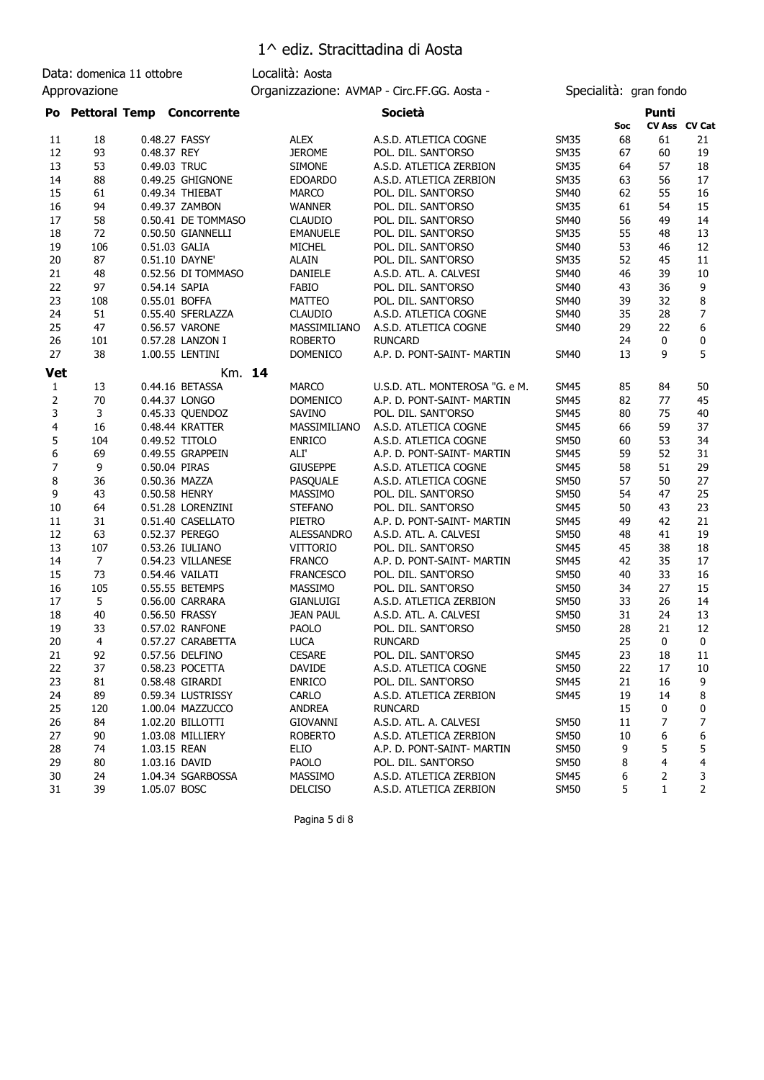Data: domenica 11 ottobre Località: Aosta Approvazione **Calcularist Controllect AVMAP** - Circ.FF.GG. Aosta - Specialità: gran fondo

| Po                         |                | <b>Pettoral Temp Concorrente</b> |        |                   | <b>Società</b>                 |             |     | Punti        |                |
|----------------------------|----------------|----------------------------------|--------|-------------------|--------------------------------|-------------|-----|--------------|----------------|
|                            |                |                                  |        |                   |                                |             | Soc |              | CV Ass CV Cat  |
| 11                         | 18             | 0.48.27 FASSY                    |        | <b>ALEX</b>       | A.S.D. ATLETICA COGNE          | <b>SM35</b> | 68  | 61           | 21             |
| 12                         | 93             | 0.48.37 REY                      |        | <b>JEROME</b>     | POL. DIL. SANT'ORSO            | <b>SM35</b> | 67  | 60           | 19             |
| 13                         | 53             | 0.49.03 TRUC                     |        | <b>SIMONE</b>     | A.S.D. ATLETICA ZERBION        | <b>SM35</b> | 64  | 57           | 18             |
| 14                         | 88             | 0.49.25 GHIGNONE                 |        | <b>EDOARDO</b>    | A.S.D. ATLETICA ZERBION        | <b>SM35</b> | 63  | 56           | 17             |
| 15                         | 61             | 0.49.34 THIEBAT                  |        | <b>MARCO</b>      | POL. DIL. SANT'ORSO            | <b>SM40</b> | 62  | 55           | 16             |
| 16                         | 94             | 0.49.37 ZAMBON                   |        | <b>WANNER</b>     | POL. DIL. SANT'ORSO            | <b>SM35</b> | 61  | 54           | 15             |
| 17                         | 58             | 0.50.41 DE TOMMASO               |        | <b>CLAUDIO</b>    | POL. DIL. SANT'ORSO            | <b>SM40</b> | 56  | 49           | 14             |
| 18                         | 72             | 0.50.50 GIANNELLI                |        | <b>EMANUELE</b>   | POL. DIL. SANT'ORSO            | <b>SM35</b> | 55  | 48           | 13             |
| 19                         | 106            | 0.51.03 GALIA                    |        | <b>MICHEL</b>     | POL. DIL. SANT'ORSO            | <b>SM40</b> | 53  | 46           | 12             |
| 20                         | 87             | 0.51.10 DAYNE'                   |        | ALAIN             | POL. DIL. SANT'ORSO            | <b>SM35</b> | 52  | 45           | 11             |
| 21                         | 48             | 0.52.56 DI TOMMASO               |        | <b>DANIELE</b>    | A.S.D. ATL. A. CALVESI         | <b>SM40</b> | 46  | 39           | 10             |
| 22                         | 97             | 0.54.14 SAPIA                    |        | <b>FABIO</b>      | POL. DIL. SANT'ORSO            | <b>SM40</b> | 43  | 36           | 9              |
| 23                         | 108            | 0.55.01 BOFFA                    |        | <b>MATTEO</b>     | POL. DIL. SANT'ORSO            | <b>SM40</b> | 39  | 32           | 8              |
| 24                         | 51             | 0.55.40 SFERLAZZA                |        | <b>CLAUDIO</b>    | A.S.D. ATLETICA COGNE          | <b>SM40</b> | 35  | 28           | $\overline{7}$ |
| 25                         | 47             | 0.56.57 VARONE                   |        | MASSIMILIANO      | A.S.D. ATLETICA COGNE          | <b>SM40</b> | 29  | 22           | 6              |
| 26                         | 101            | 0.57.28 LANZON I                 |        | <b>ROBERTO</b>    | <b>RUNCARD</b>                 |             | 24  | 0            | 0              |
| 27                         | 38             | 1.00.55 LENTINI                  |        | <b>DOMENICO</b>   | A.P. D. PONT-SAINT- MARTIN     | <b>SM40</b> | 13  | 9            | 5              |
|                            |                |                                  |        |                   |                                |             |     |              |                |
| <b>Vet</b><br>$\mathbf{1}$ | 13             | 0.44.16 BETASSA                  | Km. 14 | <b>MARCO</b>      | U.S.D. ATL. MONTEROSA "G. e M. | <b>SM45</b> | 85  | 84           | 50             |
|                            | 70             | 0.44.37 LONGO                    |        | <b>DOMENICO</b>   | A.P. D. PONT-SAINT- MARTIN     | <b>SM45</b> | 82  | 77           | 45             |
| 2                          | 3              |                                  |        |                   | POL. DIL. SANT'ORSO            |             |     |              |                |
| 3                          |                | 0.45.33 QUENDOZ                  |        | SAVINO            |                                | <b>SM45</b> | 80  | 75           | 40             |
| 4                          | 16             | 0.48.44 KRATTER                  |        | MASSIMILIANO      | A.S.D. ATLETICA COGNE          | <b>SM45</b> | 66  | 59           | 37             |
| 5                          | 104            | 0.49.52 TITOLO                   |        | <b>ENRICO</b>     | A.S.D. ATLETICA COGNE          | <b>SM50</b> | 60  | 53           | 34             |
| 6                          | 69             | 0.49.55 GRAPPEIN                 |        | ALI'              | A.P. D. PONT-SAINT- MARTIN     | <b>SM45</b> | 59  | 52           | 31             |
| 7                          | 9              | 0.50.04 PIRAS                    |        | <b>GIUSEPPE</b>   | A.S.D. ATLETICA COGNE          | <b>SM45</b> | 58  | 51           | 29             |
| 8                          | 36             | 0.50.36 MAZZA                    |        | PASQUALE          | A.S.D. ATLETICA COGNE          | <b>SM50</b> | 57  | 50           | 27             |
| 9                          | 43             | 0.50.58 HENRY                    |        | <b>MASSIMO</b>    | POL. DIL. SANT'ORSO            | <b>SM50</b> | 54  | 47           | 25             |
| 10                         | 64             | 0.51.28 LORENZINI                |        | <b>STEFANO</b>    | POL. DIL. SANT'ORSO            | <b>SM45</b> | 50  | 43           | 23             |
| 11                         | 31             | 0.51.40 CASELLATO                |        | PIETRO            | A.P. D. PONT-SAINT- MARTIN     | <b>SM45</b> | 49  | 42           | 21             |
| 12                         | 63             | 0.52.37 PEREGO                   |        | <b>ALESSANDRO</b> | A.S.D. ATL. A. CALVESI         | <b>SM50</b> | 48  | 41           | 19             |
| 13                         | 107            | 0.53.26 IULIANO                  |        | <b>VITTORIO</b>   | POL. DIL. SANT'ORSO            | <b>SM45</b> | 45  | 38           | 18             |
| 14                         | $\overline{7}$ | 0.54.23 VILLANESE                |        | <b>FRANCO</b>     | A.P. D. PONT-SAINT- MARTIN     | <b>SM45</b> | 42  | 35           | 17             |
| 15                         | 73             | 0.54.46 VAILATI                  |        | <b>FRANCESCO</b>  | POL. DIL. SANT'ORSO            | <b>SM50</b> | 40  | 33           | 16             |
| 16                         | 105            | 0.55.55 BETEMPS                  |        | MASSIMO           | POL. DIL. SANT'ORSO            | <b>SM50</b> | 34  | 27           | 15             |
| 17                         | 5              | 0.56.00 CARRARA                  |        | <b>GIANLUIGI</b>  | A.S.D. ATLETICA ZERBION        | <b>SM50</b> | 33  | 26           | 14             |
| 18                         | 40             | 0.56.50 FRASSY                   |        | <b>JEAN PAUL</b>  | A.S.D. ATL. A. CALVESI         | <b>SM50</b> | 31  | 24           | 13             |
| 19                         | 33             | 0.57.02 RANFONE                  |        | PAOLO             | POL. DIL. SANT'ORSO            | <b>SM50</b> | 28  | 21           | 12             |
| 20                         | 4              | 0.57.27 CARABETTA                |        | <b>LUCA</b>       | <b>RUNCARD</b>                 |             | 25  | 0            | 0              |
| 21                         | 92             | 0.57.56 DELFINO                  |        | <b>CESARE</b>     | POL. DIL. SANT'ORSO            | <b>SM45</b> | 23  | 18           | 11             |
| 22                         | 37             | 0.58.23 POCETTA                  |        | <b>DAVIDE</b>     | A.S.D. ATLETICA COGNE          | <b>SM50</b> | 22  | 17           | 10             |
| 23                         | 81             | 0.58.48 GIRARDI                  |        | <b>ENRICO</b>     | POL. DIL. SANT'ORSO            | <b>SM45</b> | 21  | $16\,$       | 9              |
| 24                         | 89             | 0.59.34 LUSTRISSY                |        | CARLO             | A.S.D. ATLETICA ZERBION        | <b>SM45</b> | 19  | 14           | 8              |
| 25                         | 120            | 1.00.04 MAZZUCCO                 |        | <b>ANDREA</b>     | <b>RUNCARD</b>                 |             | 15  | 0            | 0              |
| 26                         | 84             | 1.02.20 BILLOTTI                 |        | <b>GIOVANNI</b>   | A.S.D. ATL. A. CALVESI         | <b>SM50</b> | 11  | 7            | 7              |
| 27                         | 90             | 1.03.08 MILLIERY                 |        | <b>ROBERTO</b>    | A.S.D. ATLETICA ZERBION        | <b>SM50</b> | 10  | 6            | 6              |
| 28                         | 74             | 1.03.15 REAN                     |        | ELIO              | A.P. D. PONT-SAINT- MARTIN     | <b>SM50</b> | 9   | 5            | 5              |
| 29                         | 80             | 1.03.16 DAVID                    |        | <b>PAOLO</b>      | POL. DIL. SANT'ORSO            | <b>SM50</b> | 8   | 4            | 4              |
| 30                         | 24             | 1.04.34 SGARBOSSA                |        | MASSIMO           | A.S.D. ATLETICA ZERBION        | <b>SM45</b> | 6   | 2            | 3              |
| 31                         | 39             | 1.05.07 BOSC                     |        | <b>DELCISO</b>    | A.S.D. ATLETICA ZERBION        | <b>SM50</b> | 5   | $\mathbf{1}$ | $\overline{2}$ |

Pagina 5 di 8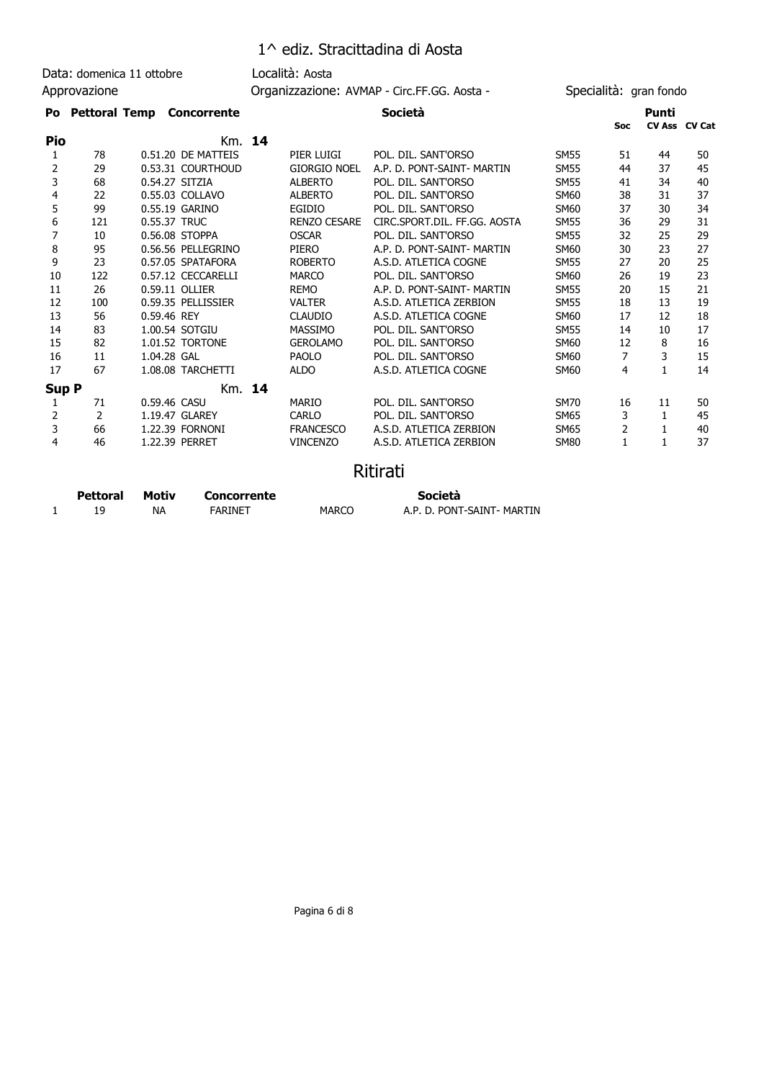Data: domenica 11 ottobre Località: Aosta Approvazione **Calcularist Controllect AVMAP** - Circ.FF.GG. Aosta - Specialità: gran fondo

#### **Po Pettoral Temp Concorrente Società Punti**

|              |                 |                             |        |                     |                              |             | <b>Soc</b>     | CV Ass CV Cat |    |
|--------------|-----------------|-----------------------------|--------|---------------------|------------------------------|-------------|----------------|---------------|----|
| Pio          |                 |                             | Km. 14 |                     |                              |             |                |               |    |
| 1            | 78              | 0.51.20 DE MATTEIS          |        | PIER LUIGI          | POL. DIL. SANT'ORSO          | <b>SM55</b> | 51             | 44            | 50 |
| 2            | 29              | 0.53.31 COURTHOUD           |        | <b>GIORGIO NOEL</b> | A.P. D. PONT-SAINT- MARTIN   | <b>SM55</b> | 44             | 37            | 45 |
| 3            | 68              | 0.54.27 SITZIA              |        | <b>ALBERTO</b>      | POL. DIL. SANT'ORSO          | <b>SM55</b> | 41             | 34            | 40 |
| 4            | 22              | 0.55.03 COLLAVO             |        | <b>ALBERTO</b>      | POL. DIL. SANT'ORSO          | <b>SM60</b> | 38             | 31            | 37 |
| 5            | 99              | 0.55.19 GARINO              |        | EGIDIO              | POL. DIL. SANT'ORSO          | <b>SM60</b> | 37             | 30            | 34 |
| 6            | 121             | 0.55.37 TRUC                |        | <b>RENZO CESARE</b> | CIRC.SPORT.DIL. FF.GG. AOSTA | <b>SM55</b> | 36             | 29            | 31 |
| 7            | 10              | 0.56.08 STOPPA              |        | <b>OSCAR</b>        | POL. DIL. SANT'ORSO          | <b>SM55</b> | 32             | 25            | 29 |
| 8            | 95              | 0.56.56 PELLEGRINO          |        | PIERO               | A.P. D. PONT-SAINT- MARTIN   | SM60        | 30             | 23            | 27 |
| 9            | 23              | 0.57.05 SPATAFORA           |        | <b>ROBERTO</b>      | A.S.D. ATLETICA COGNE        | <b>SM55</b> | 27             | 20            | 25 |
| 10           | 122             | 0.57.12 CECCARELLI          |        | <b>MARCO</b>        | POL. DIL. SANT'ORSO          | <b>SM60</b> | 26             | 19            | 23 |
| 11           | 26              | 0.59.11 OLLIER              |        | <b>REMO</b>         | A.P. D. PONT-SAINT- MARTIN   | <b>SM55</b> | 20             | 15            | 21 |
| 12           | 100             | 0.59.35 PELLISSIER          |        | <b>VALTER</b>       | A.S.D. ATLETICA ZERBION      | <b>SM55</b> | 18             | 13            | 19 |
| 13           | 56              | 0.59.46 REY                 |        | <b>CLAUDIO</b>      | A.S.D. ATLETICA COGNE        | <b>SM60</b> | 17             | 12            | 18 |
| 14           | 83              | 1.00.54 SOTGIU              |        | <b>MASSIMO</b>      | POL. DIL. SANT'ORSO          | <b>SM55</b> | 14             | 10            | 17 |
| 15           | 82              | 1.01.52 TORTONE             |        | <b>GEROLAMO</b>     | POL. DIL. SANT'ORSO          | <b>SM60</b> | 12             | 8             | 16 |
| 16           | 11              | 1.04.28 GAL                 |        | <b>PAOLO</b>        | POL. DIL. SANT'ORSO          | <b>SM60</b> | 7              | 3             | 15 |
| 17           | 67              | 1.08.08 TARCHETTI           |        | <b>ALDO</b>         | A.S.D. ATLETICA COGNE        | <b>SM60</b> | 4              | 1             | 14 |
| <b>Sup P</b> |                 |                             | Km. 14 |                     |                              |             |                |               |    |
| 1            | 71              | 0.59.46 CASU                |        | <b>MARIO</b>        | POL. DIL. SANT'ORSO          | <b>SM70</b> | 16             | 11            | 50 |
| 2            | 2               | 1.19.47 GLAREY              |        | CARLO               | POL. DIL. SANT'ORSO          | <b>SM65</b> | 3              | 1             | 45 |
| 3            | 66              | 1.22.39 FORNONI             |        | <b>FRANCESCO</b>    | A.S.D. ATLETICA ZERBION      | <b>SM65</b> | $\overline{2}$ |               | 40 |
| 4            | 46              | 1.22.39 PERRET              |        | <b>VINCENZO</b>     | A.S.D. ATLETICA ZERBION      | <b>SM80</b> | $\mathbf{1}$   |               | 37 |
|              |                 |                             |        |                     | <b>Ritirati</b>              |             |                |               |    |
|              | <b>Pettoral</b> | Motiv<br><b>Concorrente</b> |        |                     | Società                      |             |                |               |    |

| Pettoral | MOLIV | concorrente |       | эосіета                    |
|----------|-------|-------------|-------|----------------------------|
|          | ΝA    | FARINET     | MARCC | A.P. D. PONT-SAINT- MARTIN |

Pagina 6 di 8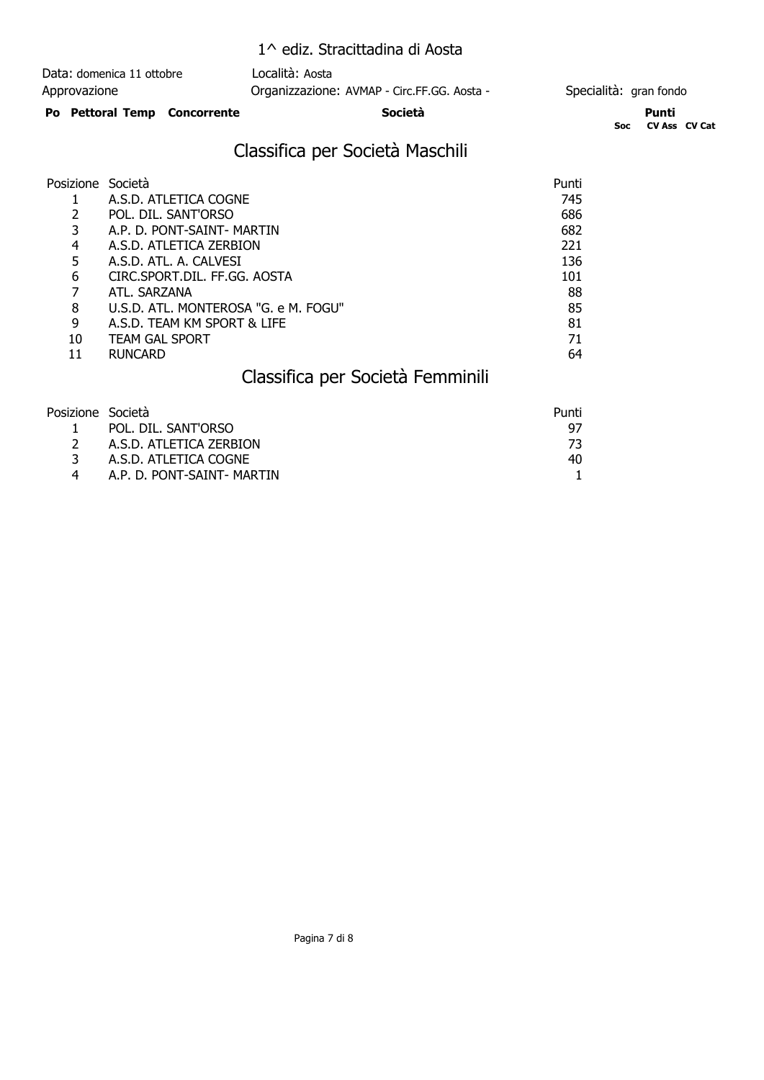| Data: domenica 11 ottobre    | Località: Aosta                             |                        |  |  |
|------------------------------|---------------------------------------------|------------------------|--|--|
| Approvazione                 | Organizzazione: AVMAP - Circ.FF.GG. Aosta - | Specialità: gran fondo |  |  |
| Po Pettoral Temp Concorrente | Società                                     | Punti                  |  |  |

**Soc CV Ass CV Cat**

# Classifica per Società Maschili

| Posizione Società |                                      | Punti |
|-------------------|--------------------------------------|-------|
|                   | A.S.D. ATLETICA COGNE                | 745   |
|                   | POL. DIL. SANT'ORSO                  | 686   |
| 3                 | A.P. D. PONT-SAINT- MARTIN           | 682   |
| 4                 | A.S.D. ATLETICA ZERBION              | 221   |
| 5                 | A.S.D. ATL. A. CALVESI               | 136   |
| 6                 | CIRC.SPORT.DIL. FF.GG. AOSTA         | 101   |
|                   | ATL. SARZANA                         | 88    |
| 8                 | U.S.D. ATL. MONTEROSA "G. e M. FOGU" | 85    |
| 9                 | A.S.D. TEAM KM SPORT & LIFE          | 81    |
| 10                | <b>TEAM GAL SPORT</b>                | 71    |
|                   | <b>RUNCARD</b>                       | 64    |

# Classifica per Società Femminili

| Posizione Società |                            | Punti |
|-------------------|----------------------------|-------|
|                   | POL. DIL. SANT'ORSO        | 97    |
|                   | A.S.D. ATLETICA ZERBION    |       |
|                   | A.S.D. ATLETICA COGNE      | 40.   |
|                   | A.P. D. PONT-SAINT- MARTIN |       |